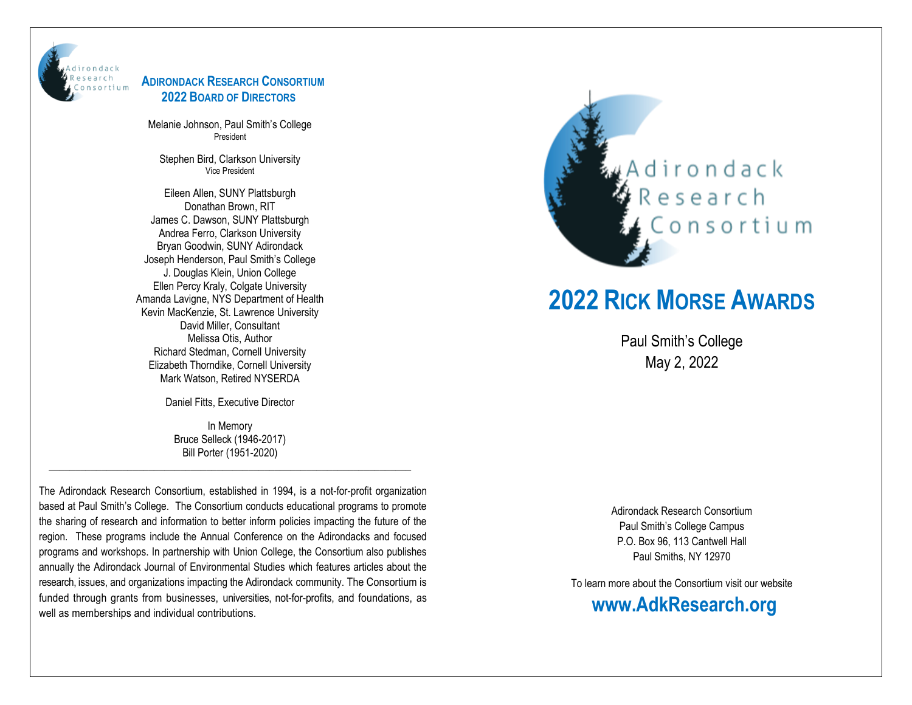

#### **ADIRONDACK RESEARCH CONSORTIUM 2022 BOARD OF DIRECTORS**

Melanie Johnson, Paul Smith's College President

Stephen Bird, Clarkson University Vice President

Eileen Allen, SUNY Plattsburgh Donathan Brown, RIT James C. Dawson, SUNY Plattsburgh Andrea Ferro, Clarkson University Bryan Goodwin, SUNY Adirondack Joseph Henderson, Paul Smith's College J. Douglas Klein, Union College Ellen Percy Kraly, Colgate University Amanda Lavigne, NYS Department of Health Kevin MacKenzie, St. Lawrence University David Miller, Consultant Melissa Otis, Author Richard Stedman, Cornell University Elizabeth Thorndike, Cornell University Mark Watson, Retired NYSERDA

Daniel Fitts, Executive Director

In Memory Bruce Selleck (1946-2017) Bill Porter (1951-2020)

\_\_\_\_\_\_\_\_\_\_\_\_\_\_\_\_\_\_\_\_\_\_\_\_\_\_\_\_\_\_\_\_\_\_\_\_\_\_\_\_\_\_\_\_\_\_\_\_\_\_\_\_\_\_\_\_\_\_\_\_\_\_\_\_\_\_\_\_\_

The Adirondack Research Consortium, established in 1994, is a not-for-profit organization based at Paul Smith's College. The Consortium conducts educational programs to promote the sharing of research and information to better inform policies impacting the future of the region. These programs include the Annual Conference on the Adirondacks and focused programs and workshops. In partnership with Union College, the Consortium also publishes annually the Adirondack Journal of Environmental Studies which features articles about the research, issues, and organizations impacting the Adirondack community. The Consortium is funded through grants from businesses, universities, not-for-profits, and foundations, as well as memberships and individual contributions.



# **2022 RICK MORSE AWARDS**

Paul Smith's College May 2, 2022

Adirondack Research Consortium Paul Smith's College Campus P.O. Box 96, 113 Cantwell Hall Paul Smiths, NY 12970

To learn more about the Consortium visit our website **www.AdkResearch.org**